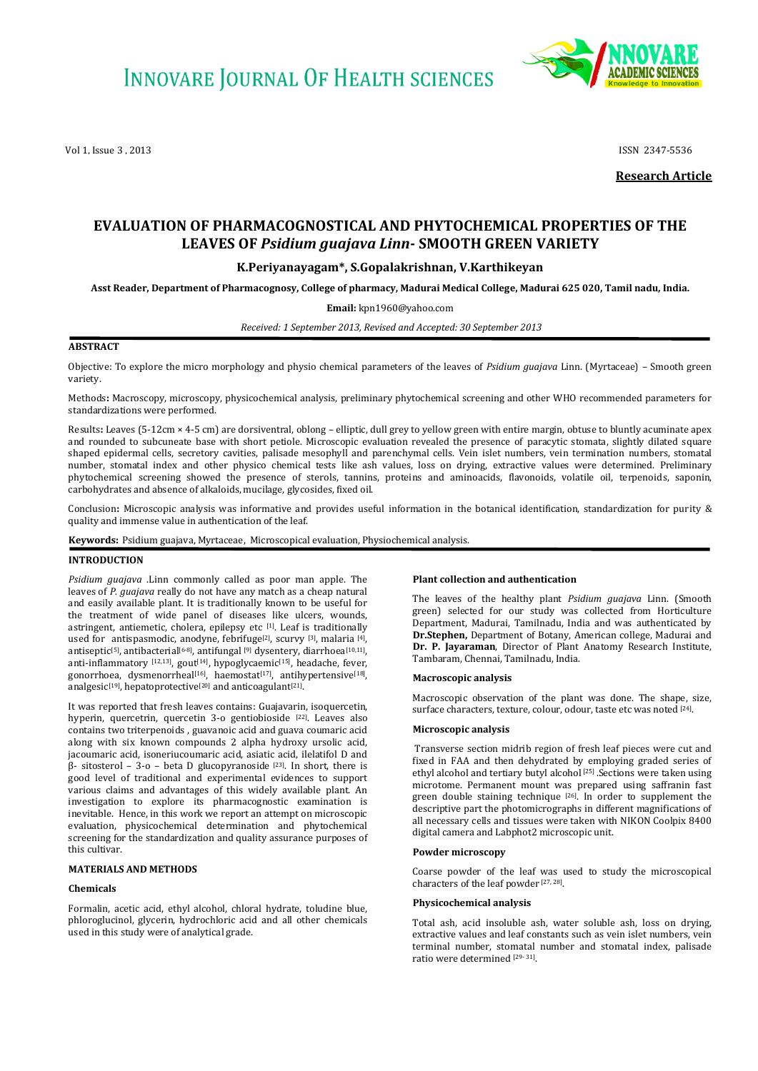Vol 1, Issue 3 , 2013 **ISSN 2347-5536** 



**Research Article**

# **EVALUATION OF PHARMACOGNOSTICAL AND PHYTOCHEMICAL PROPERTIES OF THE LEAVES OF** *Psidium guajava Linn***- SMOOTH GREEN VARIETY**

# **K.Periyanayagam\*, S.Gopalakrishnan, V.Karthikeyan**

**Asst Reader, Department of Pharmacognosy, College of pharmacy, Madurai Medical College, Madurai 625 020, Tamil nadu, India.**

**Email:** [kpn1960@yahoo.com](mailto:Kpn1960@yahoo.com)

*Received: 1 September 2013, Revised and Accepted: 30 September 2013*

# **ABSTRACT**

Objective: To explore the micro morphology and physio chemical parameters of the leaves of *Psidium guajava* Linn. (Myrtaceae) – Smooth green variety.

Methods**:** Macroscopy, microscopy, physicochemical analysis, preliminary phytochemical screening and other WHO recommended parameters for standardizations were performed.

Results**:** Leaves (5-12cm × 4-5 cm) are dorsiventral, oblong – elliptic, dull grey to yellow green with entire margin, obtuse to bluntly acuminate apex and rounded to subcuneate base with short petiole. Microscopic evaluation revealed the presence of paracytic stomata, slightly dilated square shaped epidermal cells, secretory cavities, palisade mesophyll and parenchymal cells. Vein islet numbers, vein termination numbers, stomatal number, stomatal index and other physico chemical tests like ash values, loss on drying, extractive values were determined. Preliminary phytochemical screening showed the presence of sterols, tannins, proteins and aminoacids, flavonoids, volatile oil, terpenoids, saponin, carbohydrates and absence of alkaloids, mucilage, glycosides, fixed oil.

Conclusion**:** Microscopic analysis was informative and provides useful information in the botanical identification, standardization for purity & quality and immense value in authentication of the leaf.

**Keywords:** Psidium guajava, Myrtaceae, Microscopical evaluation, Physiochemical analysis.

#### **INTRODUCTION**

*Psidium guajava* .Linn commonly called as poor man apple. The leaves of *P. guajava* really do not have any match as a cheap natural and easily available plant. It is traditionally known to be useful for the treatment of wide panel of diseases like ulcers, wounds, astringent, antiemetic, cholera, epilepsy etc [1]. Leaf is traditionally used for antispasmodic, anodyne, febrifuge<sup>[2]</sup>, scurvy <sup>[3]</sup>, malaria <sup>[4]</sup>, antiseptic<sup>[5]</sup>, antibacterial<sup>[6-8]</sup>, antifungal <sup>[9]</sup> dysentery, diarrhoea<sup>[10,11]</sup>, anti-inflammatory [12,13], gout<sup>[14]</sup>, hypoglycaemic<sup>[15]</sup>, headache, fever, gonorrhoea, dysmenorrheal<sup>[16]</sup>, haemostat<sup>[17]</sup>, antihypertensive<sup>[18]</sup>, analgesic<sup>[19]</sup>, hepatoprotective<sup>[20]</sup> and anticoagulant<sup>[21]</sup>.

It was reported that fresh leaves contains: Guajavarin, isoquercetin, hyperin, quercetrin, quercetin 3-o gentiobioside [22]. Leaves also contains two triterpenoids , guavanoic acid and guava coumaric acid along with six known compounds 2 alpha hydroxy ursolic acid, jacoumaric acid, isoneriucoumaric acid, asiatic acid, ilelatifol D and  $β$ - sitosterol – 3-o – beta D glucopyranoside [23]. In short, there is good level of traditional and experimental evidences to support various claims and advantages of this widely available plant. An investigation to explore its pharmacognostic examination is inevitable. Hence, in this work we report an attempt on microscopic evaluation, physicochemical determination and phytochemical screening for the standardization and quality assurance purposes of this cultivar.

#### **MATERIALS AND METHODS**

#### **Chemicals**

Formalin, acetic acid, ethyl alcohol, chloral hydrate, toludine blue, phloroglucinol, glycerin, hydrochloric acid and all other chemicals used in this study were of analytical grade.

#### **Plant collection and authentication**

The leaves of the healthy plant *Psidium guajava* Linn. (Smooth green) selected for our study was collected from Horticulture Department, Madurai, Tamilnadu, India and was authenticated by **Dr.Stephen,** Department of Botany, American college, Madurai and **Dr. P. Jayaraman**, Director of Plant Anatomy Research Institute, Tambaram, Chennai, Tamilnadu, India.

#### **Macroscopic analysis**

Macroscopic observation of the plant was done. The shape, size, surface characters, texture, colour, odour, taste etc was noted [24].

#### **Microscopic analysis**

Transverse section midrib region of fresh leaf pieces were cut and fixed in FAA and then dehydrated by employing graded series of ethyl alcohol and tertiary butyl alcohol <sup>[25]</sup> .Sections were taken using microtome. Permanent mount was prepared using saffranin fast green double staining technique  $[26]$ . In order to supplement the descriptive part the photomicrographs in different magnifications of all necessary cells and tissues were taken with NIKON Coolpix 8400 digital camera and Labphot2 microscopic unit.

#### **Powder microscopy**

Coarse powder of the leaf was used to study the microscopical characters of the leaf powder [27, 28].

#### **Physicochemical analysis**

Total ash, acid insoluble ash, water soluble ash, loss on drying, extractive values and leaf constants such as vein islet numbers, vein terminal number, stomatal number and stomatal index, palisade ratio were determined [29- 31] .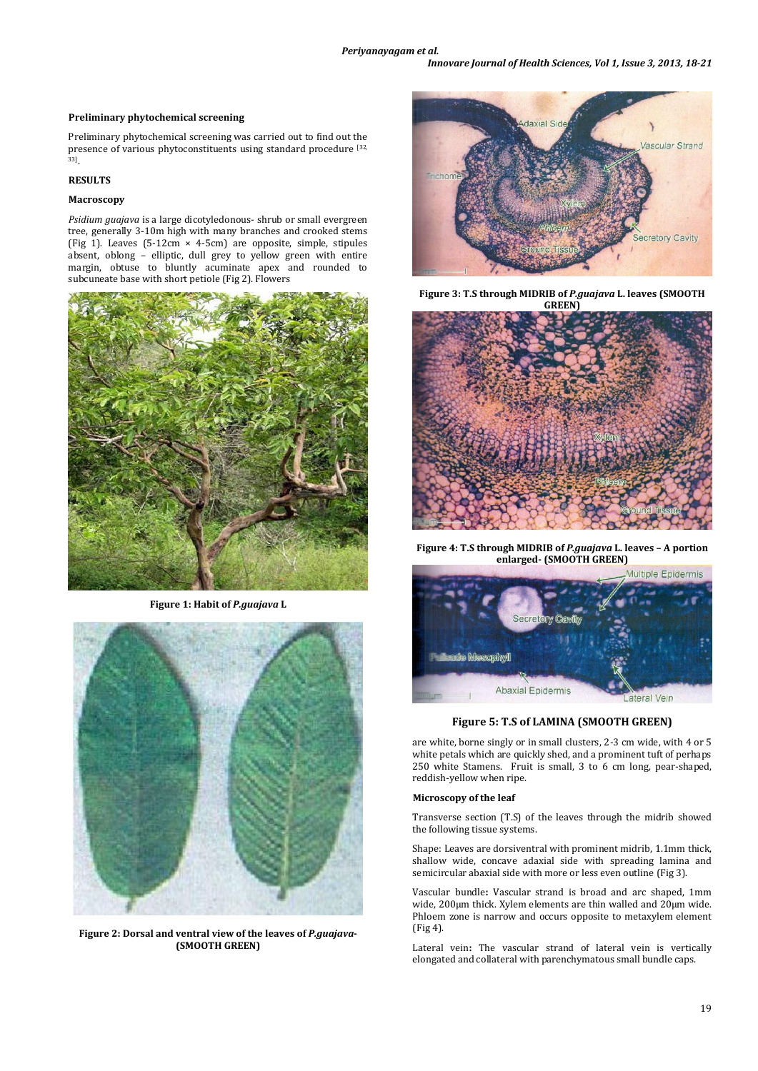### **Preliminary phytochemical screening**

Preliminary phytochemical screening was carried out to find out the presence of various phytoconstituents using standard procedure [32, 33] .

### **RESULTS**

### **Macroscopy**

*Psidium guajava* is a large dicotyledonous- shrub or small evergreen tree, generally 3-10m high with many branches and crooked stems (Fig 1). Leaves (5-12cm  $\times$  4-5cm) are opposite, simple, stipules absent, oblong – elliptic, dull grey to yellow green with entire margin, obtuse to bluntly acuminate apex and rounded to subcuneate base with short petiole (Fig 2). Flowers



**Figure 1: Habit of** *P.guajava* **L**



**Figure 2: Dorsal and ventral view of the leaves of** *P.guajava***- (SMOOTH GREEN)** 



**Figure 3: T.S through MIDRIB of** *P.guajava* **L. leaves (SMOOTH GREEN)**



**Figure 4: T.S through MIDRIB of** *P.guajava* **L. leaves – A portion enlarged- (SMOOTH GREEN)**



**Figure 5: T.S of LAMINA (SMOOTH GREEN)**

are white, borne singly or in small clusters, 2-3 cm wide, with 4 or 5 white petals which are quickly shed, and a prominent tuft of perhaps 250 white Stamens. Fruit is small, 3 to 6 cm long, pear-shaped, reddish-yellow when ripe.

#### **Microscopy of the leaf**

Transverse section (T.S) of the leaves through the midrib showed the following tissue systems.

Shape: Leaves are dorsiventral with prominent midrib, 1.1mm thick, shallow wide, concave adaxial side with spreading lamina and semicircular abaxial side with more or less even outline (Fig 3).

Vascular bundle**:** Vascular strand is broad and arc shaped, 1mm wide, 200µm thick. Xylem elements are thin walled and 20µm wide. Phloem zone is narrow and occurs opposite to metaxylem element (Fig 4).

Lateral vein**:** The vascular strand of lateral vein is vertically elongated and collateral with parenchymatous small bundle caps.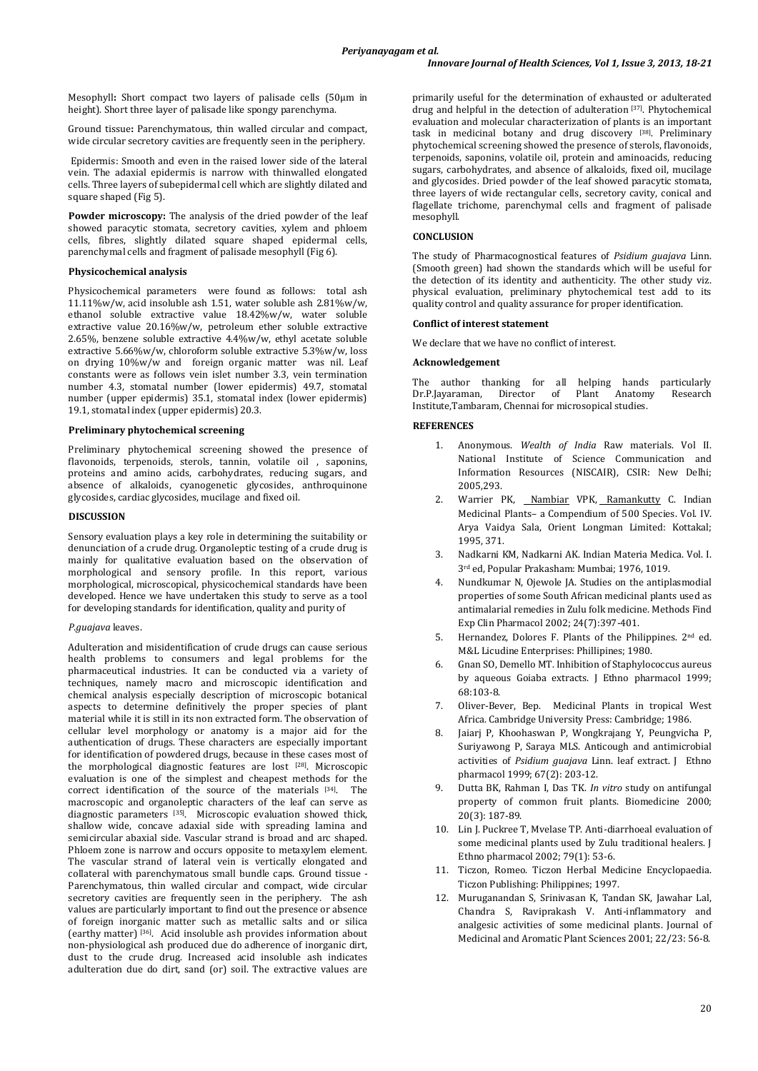Mesophyll**:** Short compact two layers of palisade cells (50µm in height). Short three layer of palisade like spongy parenchyma.

Ground tissue**:** Parenchymatous, thin walled circular and compact, wide circular secretory cavities are frequently seen in the periphery.

Epidermis: Smooth and even in the raised lower side of the lateral vein. The adaxial epidermis is narrow with thinwalled elongated cells. Three layers of subepidermal cell which are slightly dilated and square shaped (Fig 5).

Powder microscopy: The analysis of the dried powder of the leaf showed paracytic stomata, secretory cavities, xylem and phloem cells, fibres, slightly dilated square shaped epidermal cells, parenchymal cells and fragment of palisade mesophyll (Fig 6).

# **Physicochemical analysis**

Physicochemical parameters were found as follows: total ash 11.11%w/w, acid insoluble ash 1.51, water soluble ash 2.81%w/w, ethanol soluble extractive value 18.42%w/w, water soluble extractive value 20.16%w/w, petroleum ether soluble extractive 2.65%, benzene soluble extractive 4.4%w/w, ethyl acetate soluble extractive 5.66%w/w, chloroform soluble extractive 5.3%w/w, loss on drying 10%w/w and foreign organic matter was nil. Leaf constants were as follows vein islet number 3.3, vein termination number 4.3, stomatal number (lower epidermis) 49.7, stomatal number (upper epidermis) 35.1, stomatal index (lower epidermis) 19.1, stomatal index (upper epidermis) 20.3.

## **Preliminary phytochemical screening**

Preliminary phytochemical screening showed the presence of flavonoids, terpenoids, sterols, tannin, volatile oil, saponins, proteins and amino acids, carbohydrates, reducing sugars, and absence of alkaloids, cyanogenetic glycosides, anthroquinone glycosides, cardiac glycosides, mucilage and fixed oil.

## **DISCUSSION**

Sensory evaluation plays a key role in determining the suitability or denunciation of a crude drug. Organoleptic testing of a crude drug is mainly for qualitative evaluation based on the observation of morphological and sensory profile. In this report, various morphological, microscopical, physicochemical standards have been developed. Hence we have undertaken this study to serve as a tool for developing standards for identification, quality and purity of

# *P.guajava* leaves.

Adulteration and misidentification of crude drugs can cause serious health problems to consumers and legal problems for the pharmaceutical industries. It can be conducted via a variety of techniques, namely macro and microscopic identification and chemical analysis especially description of microscopic botanical aspects to determine definitively the proper species of plant material while it is still in its non extracted form. The observation of cellular level morphology or anatomy is a major aid for the authentication of drugs. These characters are especially important for identification of powdered drugs, because in these cases most of the morphological diagnostic features are lost [28] . Microscopic evaluation is one of the simplest and cheapest methods for the correct identification of the source of the materials [34]. The macroscopic and organoleptic characters of the leaf can serve as diagnostic parameters [35]. Microscopic evaluation showed thick, shallow wide, concave adaxial side with spreading lamina and semicircular abaxial side. Vascular strand is broad and arc shaped. Phloem zone is narrow and occurs opposite to metaxylem element. The vascular strand of lateral vein is vertically elongated and collateral with parenchymatous small bundle caps. Ground tissue - Parenchymatous, thin walled circular and compact, wide circular secretory cavities are frequently seen in the periphery. The ash values are particularly important to find out the presence or absence of foreign inorganic matter such as metallic salts and or silica (earthy matter) [36]. Acid insoluble ash provides information about non-physiological ash produced due do adherence of inorganic dirt, dust to the crude drug. Increased acid insoluble ash indicates adulteration due do dirt, sand (or) soil. The extractive values are

primarily useful for the determination of exhausted or adulterated drug and helpful in the detection of adulteration [37]. Phytochemical evaluation and molecular characterization of plants is an important task in medicinal botany and drug discovery [38]. Preliminary phytochemical screening showed the presence of sterols, flavonoids, terpenoids, saponins, volatile oil, protein and aminoacids, reducing sugars, carbohydrates, and absence of alkaloids, fixed oil, mucilage and glycosides. Dried powder of the leaf showed paracytic stomata, three layers of wide rectangular cells, secretory cavity, conical and flagellate trichome, parenchymal cells and fragment of palisade mesophyll.

## **CONCLUSION**

The study of Pharmacognostical features of *Psidium guajava* Linn. (Smooth green) had shown the standards which will be useful for the detection of its identity and authenticity. The other study viz. physical evaluation, preliminary phytochemical test add to its quality control and quality assurance for proper identification.

## **Conflict of interest statement**

We declare that we have no conflict of interest.

## **Acknowledgement**

The author thanking for all helping hands particularly<br>Dr.P.Iavaraman, Director of Plant Anatomy Research Dr.P.Jayaraman, Director of Plant Anatomy Research Institute,Tambaram, Chennai for microsopical studies.

# **REFERENCES**

- 1. Anonymous. *Wealth of India* Raw materials. Vol II. National Institute of Science Communication and Information Resources (NISCAIR), CSIR: New Delhi; 2005,293.
- 2. Warrier PK, [Nambiar](http://www.google.co.in/search?tbo=p&tbm=bks&q=inauthor:%22V.+P.+K.+Nambiar%22) VPK, [Ramankutty](http://www.google.co.in/search?tbo=p&tbm=bks&q=inauthor:%22C.+Ramankutty%22) C. Indian Medicinal Plants– a Compendium of 500 Species. Vol. IV. Arya Vaidya Sala, Orient Longman Limited: Kottakal; 1995, 371.
- 3. Nadkarni KM, Nadkarni AK. Indian Materia Medica. Vol. I. 3rd ed, Popular Prakasham: Mumbai; 1976, 1019.
- 4. Nundkumar N, Ojewole JA. Studies on the antiplasmodial properties of some South African medicinal plants used as antimalarial remedies in Zulu folk medicine. Methods Find Exp Clin Pharmacol 2002; 24(7):397-401.
- 5. Hernandez, Dolores F. Plants of the Philippines. 2nd ed. M&L Licudine Enterprises: Phillipines; 1980.
- 6. Gnan SO, Demello MT. Inhibition of Staphylococcus aureus by aqueous Goiaba extracts. J Ethno pharmacol 1999; 68:103-8.
- 7. Oliver-Bever, Bep. Medicinal Plants in tropical West Africa. Cambridge University Press: Cambridge; 1986.
- 8. Jaiarj P, Khoohaswan P, Wongkrajang Y, Peungvicha P, Suriyawong P, Saraya MLS. Anticough and antimicrobial activities of *Psidium guajava* Linn. leaf extract. J Ethno pharmacol 1999; 67(2): 203-12.
- 9. Dutta BK, Rahman I, Das TK. *In vitro* study on antifungal property of common fruit plants. Biomedicine 2000; 20(3): 187-89.
- 10. Lin J. Puckree T, Mvelase TP. Anti-diarrhoeal evaluation of some medicinal plants used by Zulu traditional healers. J Ethno pharmacol 2002; 79(1): 53-6.
- 11. Ticzon, Romeo. Ticzon Herbal Medicine Encyclopaedia. Ticzon Publishing: Philippines; 1997.
- 12. Muruganandan S, Srinivasan K, Tandan SK, Jawahar Lal, Chandra S, Raviprakash V. Anti-inflammatory and analgesic activities of some medicinal plants. Journal of Medicinal and Aromatic Plant Sciences 2001; 22/23: 56-8.